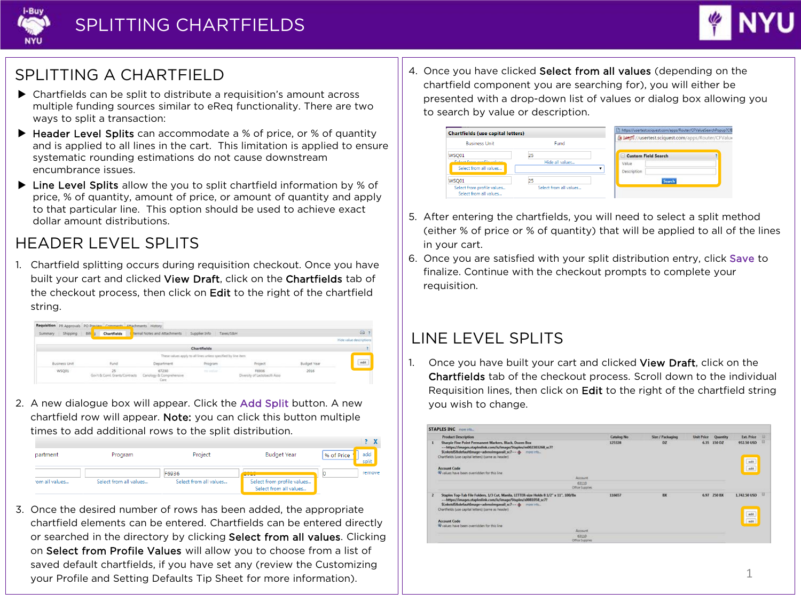



## SPLITTING A CHARTFIELD

- Chartfields can be split to distribute a requisition's amount across multiple funding sources similar to eReq functionality. There are two ways to split a transaction:
- ▶ Header Level Splits can accommodate a % of price, or % of quantity and is applied to all lines in the cart. This limitation is applied to ensure systematic rounding estimations do not cause downstream encumbrance issues.
- ▶ Line Level Splits allow the you to split chartfield information by % of price, % of quantity, amount of price, or amount of quantity and apply to that particular line. This option should be used to achieve exact dollar amount distributions.

## HEADER LEVEL SPLITS

1. Chartfield splitting occurs during requisition checkout. Once you have built your cart and clicked View Draft, click on the Chartfields tab of the checkout process, then click on Edit to the right of the chartfield string.

|        |          |                 | Requisition PR Approvals PO Preview Comments Attachments History |                                            |                                                               |             |                 |      |                        |
|--------|----------|-----------------|------------------------------------------------------------------|--------------------------------------------|---------------------------------------------------------------|-------------|-----------------|------|------------------------|
| Summar | Shipping | 相談<br><b>Is</b> | <b>Chartfields</b>                                               | <b>Notas and Attachments</b>               |                                                               | Saves/S.Bok |                 |      | GR.                    |
|        |          |                 |                                                                  |                                            |                                                               |             |                 |      | Hide value description |
|        |          |                 |                                                                  |                                            | Chartfields                                                   |             |                 |      |                        |
|        |          |                 |                                                                  |                                            | These values apply to all lines unless specified by line item |             |                 |      |                        |
|        |          |                 | Fund                                                             |                                            |                                                               |             |                 |      | edit                   |
|        | WSQ01    |                 | 25                                                               | 67230<br>Cariology & Comprehensive<br>Care | res inslue                                                    |             | F6936<br>a mana | 2016 |                        |

2. A new dialogue box will appear. Click the Add Split button. A new chartfield row will appear. Note: you can click this button multiple times to add additional rows to the split distribution.

| partment      | Program                | Project                | <b>Budget Year</b>                                   | add<br>% of Price<br>split |
|---------------|------------------------|------------------------|------------------------------------------------------|----------------------------|
|               |                        | F6936                  | <b>BOAR</b><br><b>Contract Contract</b>              | remove                     |
| om all values | Select from all values | Select from all values | Select from profile values<br>Select from all values |                            |

3. Once the desired number of rows has been added, the appropriate chartfield elements can be entered. Chartfields can be entered directly or searched in the directory by clicking Select from all values. Clicking on Select from Profile Values will allow you to choose from a list of saved default chartfields, if you have set any (review the Customizing your Profile and Setting Defaults Tip Sheet for more information).

4. Once you have clicked Select from all values (depending on the chartfield component you are searching for), you will either be presented with a drop-down list of values or dialog box allowing you to search by value or description.

| <b>Chartfields (use capital letters)</b>              |                        | https://usertest.sciquest.com/apps/Router/CFValueSearchPopup?CfI |
|-------------------------------------------------------|------------------------|------------------------------------------------------------------|
| <b>Business Unit</b>                                  | Fund                   | x bxps://usertest.sciquest.com/apps/Router/CFValu                |
| WSQ01                                                 | 25                     | <b>Custom Field Search</b>                                       |
| Calculation and the colored<br>Select from all values | Hide all values        | Value<br>Description                                             |
| WSO01                                                 | 25                     | Search                                                           |
| Select from profile values<br>Select from all values  | Select from all values |                                                                  |

- 5. After entering the chartfields, you will need to select a split method (either % of price or % of quantity) that will be applied to all of the lines in your cart.
- 6. Once you are satisfied with your split distribution entry, click Save to finalize. Continue with the checkout prompts to complete your requisition.

## LINE LEVEL SPLITS

1. Once you have built your cart and clicked View Draft, click on the Chartfields tab of the checkout process. Scroll down to the individual Requisition lines, then click on Edit to the right of the chartfield string you wish to change.

|                | <b>STAPLES INC</b> more info                                                                                                                                                                                                                                                                                                          |                   |                  |                   |                 |                              |        |
|----------------|---------------------------------------------------------------------------------------------------------------------------------------------------------------------------------------------------------------------------------------------------------------------------------------------------------------------------------------|-------------------|------------------|-------------------|-----------------|------------------------------|--------|
|                | <b>Product Description</b>                                                                                                                                                                                                                                                                                                            | <b>Catalog No</b> | Size / Packaging | <b>Unit Price</b> | <b>Quantity</b> | <b>Ext. Price</b>            | o      |
| $\mathbf{I}$   | Sharpie Fine Point Permanent Markers, Black, Dozen Box<br>-- https://images.stapleslink.com/is/image/Staples/m002303268_sc7?<br>SLnkstdS&defaultImage-advnoimgavail sc7-- @ more info<br>Chartfields (use capital letters) (same as header)<br><b>Account Code</b><br>W values have been overridden for this line<br>Account<br>63110 | 125328            | DZ.              |                   | 635 150 DZ      | 952.50 USD<br>$-68$<br>458   |        |
|                | Office Supplies                                                                                                                                                                                                                                                                                                                       |                   |                  |                   |                 |                              |        |
| $\overline{z}$ | Staples Top-Tab File Folders, 1/3 Cut, Manila, LETTER-size Holds 8 1/2" x 11", 100/Bx<br>-- https://images.stapledink.com/is/image/Staples/s0081058_sc7?<br>SLrdstdS&defaultImage=advnoimgavail sc7 -- @ more info<br>Chartfields (use capital letters) (same as header)<br><b>Account Code</b>                                       | 116657            | BX               |                   | 6.97 250 BX     | 1.742.50 USD<br>edit<br>edit | 百<br>и |
|                | W values have been overridden for this line<br>Account                                                                                                                                                                                                                                                                                |                   |                  |                   |                 |                              |        |
|                | 63110                                                                                                                                                                                                                                                                                                                                 |                   |                  |                   |                 |                              |        |
|                | Office Supplies                                                                                                                                                                                                                                                                                                                       |                   |                  |                   |                 |                              |        |